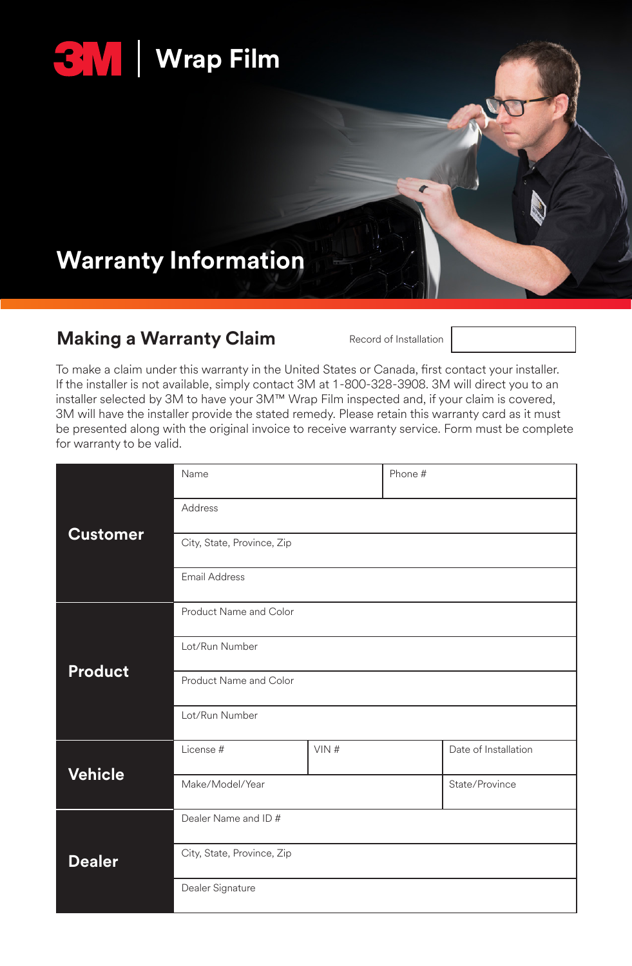

# **Warranty Information**

### **Making a Warranty Claim** Record of Installation

To make a claim under this warranty in the United States or Canada, first contact your installer. If the installer is not available, simply contact 3M at 1-800-328-3908. 3M will direct you to an installer selected by 3M to have your 3M™ Wrap Film inspected and, if your claim is covered, 3M will have the installer provide the stated remedy. Please retain this warranty card as it must be presented along with the original invoice to receive warranty service. Form must be complete for warranty to be valid.

|                 | Name                       |      | Phone # |                      |
|-----------------|----------------------------|------|---------|----------------------|
| <b>Customer</b> | Address                    |      |         |                      |
|                 | City, State, Province, Zip |      |         |                      |
|                 | <b>Email Address</b>       |      |         |                      |
| Product         | Product Name and Color     |      |         |                      |
|                 | Lot/Run Number             |      |         |                      |
|                 | Product Name and Color     |      |         |                      |
|                 | Lot/Run Number             |      |         |                      |
| <b>Vehicle</b>  | License #                  | VIN# |         | Date of Installation |
|                 | Make/Model/Year            |      |         | State/Province       |
| <b>Dealer</b>   | Dealer Name and ID#        |      |         |                      |
|                 | City, State, Province, Zip |      |         |                      |
|                 | Dealer Signature           |      |         |                      |